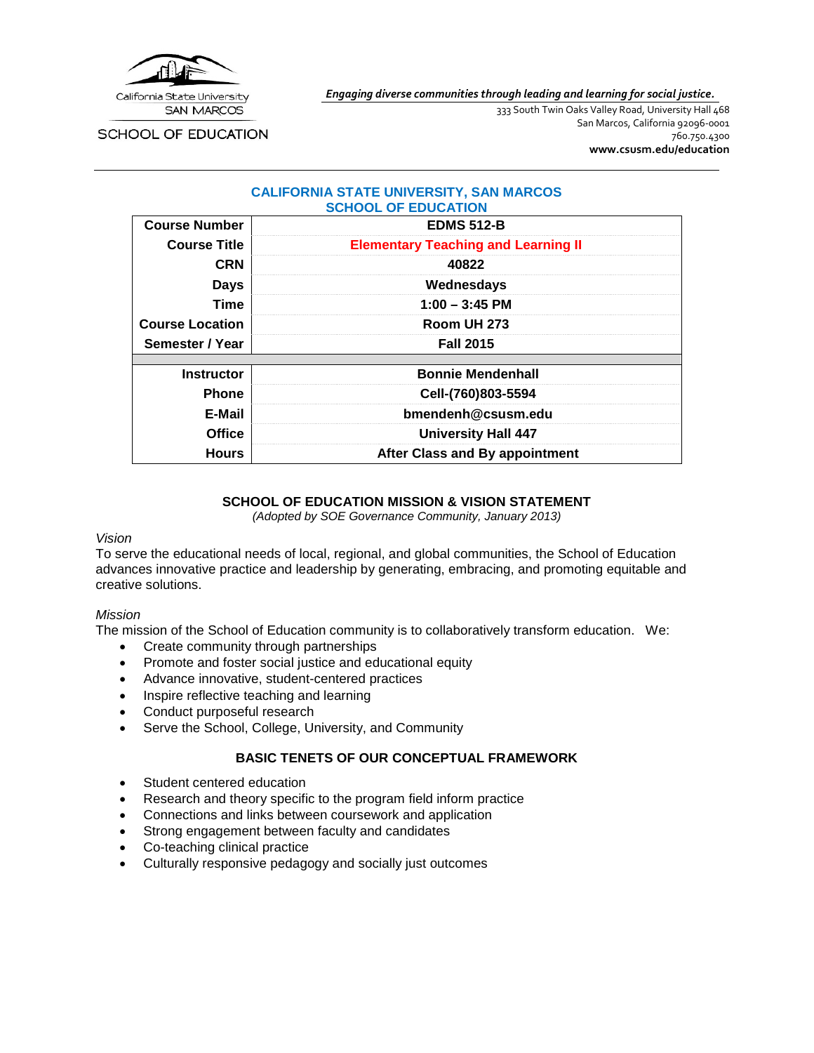

*Engaging diverse communities through leading and learning for social justice.*

**SCHOOL OF EDUCATION** 

333 South Twin Oaks Valley Road, University Hall 468 San Marcos, California 92096-0001 760.750.4300 **[www.csusm.edu/education](http://www.csusm.edu/education)**

#### **CALIFORNIA STATE UNIVERSITY, SAN MARCOS SCHOOL OF EDUCATION**

| <b>Course Number</b>   | <b>EDMS 512-B</b>                          |
|------------------------|--------------------------------------------|
| <b>Course Title</b>    | <b>Elementary Teaching and Learning II</b> |
| <b>CRN</b>             | 40822                                      |
| <b>Days</b>            | Wednesdays                                 |
| <b>Time</b>            | $1:00 - 3:45$ PM                           |
| <b>Course Location</b> | Room UH 273                                |
| Semester / Year        | <b>Fall 2015</b>                           |
|                        |                                            |
| <b>Instructor</b>      | <b>Bonnie Mendenhall</b>                   |
| <b>Phone</b>           | Cell-(760)803-5594                         |
| E-Mail                 | bmendenh@csusm.edu                         |
| <b>Office</b>          | <b>University Hall 447</b>                 |
| <b>Hours</b>           | After Class and By appointment             |

# **SCHOOL OF EDUCATION MISSION & VISION STATEMENT**

*(Adopted by SOE Governance Community, January 2013)*

#### *Vision*

To serve the educational needs of local, regional, and global communities, the School of Education advances innovative practice and leadership by generating, embracing, and promoting equitable and creative solutions.

# *Mission*

The mission of the School of Education community is to collaboratively transform education. We:

- Create community through partnerships
- Promote and foster social justice and educational equity
- Advance innovative, student-centered practices
- Inspire reflective teaching and learning
- Conduct purposeful research
- Serve the School, College, University, and Community

# **BASIC TENETS OF OUR CONCEPTUAL FRAMEWORK**

- Student centered education
- Research and theory specific to the program field inform practice
- Connections and links between coursework and application
- Strong engagement between faculty and candidates
- Co-teaching clinical practice
- Culturally responsive pedagogy and socially just outcomes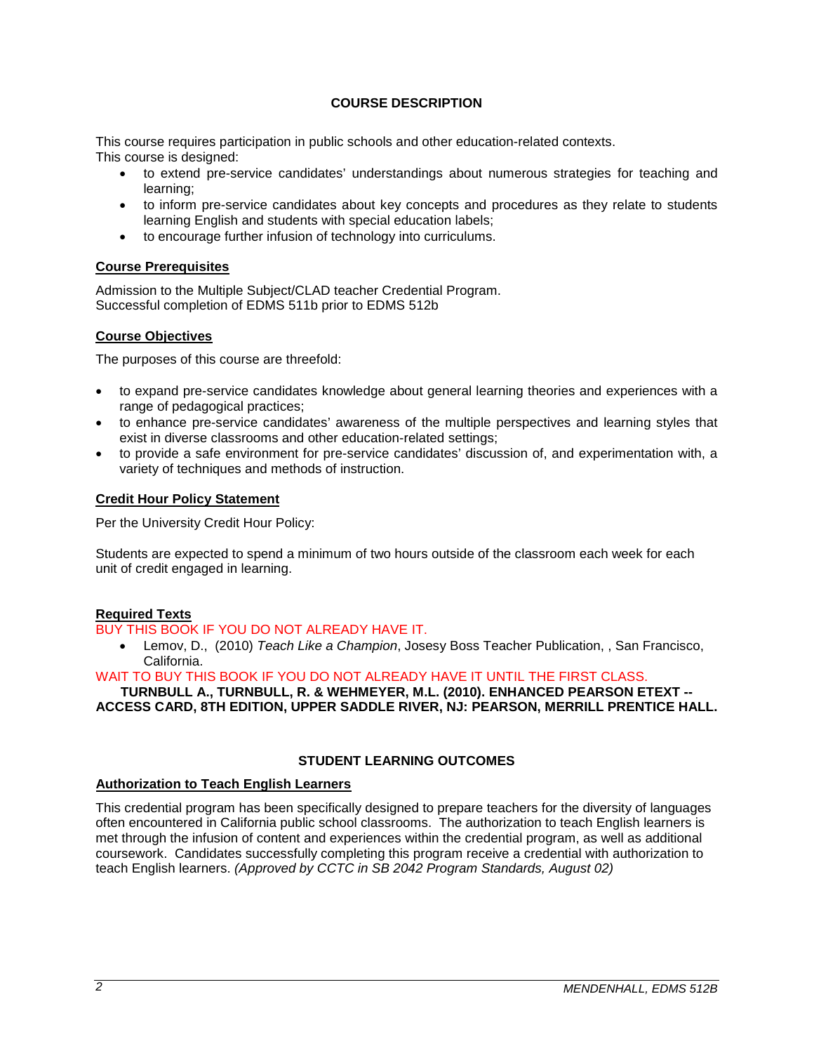# **COURSE DESCRIPTION**

This course requires participation in public schools and other education-related contexts. This course is designed:

- to extend pre-service candidates' understandings about numerous strategies for teaching and learning;
- to inform pre-service candidates about key concepts and procedures as they relate to students learning English and students with special education labels;
- to encourage further infusion of technology into curriculums.

# **Course Prerequisites**

Admission to the Multiple Subject/CLAD teacher Credential Program. Successful completion of EDMS 511b prior to EDMS 512b

# **Course Objectives**

The purposes of this course are threefold:

- to expand pre-service candidates knowledge about general learning theories and experiences with a range of pedagogical practices;
- to enhance pre-service candidates' awareness of the multiple perspectives and learning styles that exist in diverse classrooms and other education-related settings;
- to provide a safe environment for pre-service candidates' discussion of, and experimentation with, a variety of techniques and methods of instruction.

# **Credit Hour Policy Statement**

Per the University Credit Hour Policy:

Students are expected to spend a minimum of two hours outside of the classroom each week for each unit of credit engaged in learning.

# **Required Texts**

# BUY THIS BOOK IF YOU DO NOT ALREADY HAVE IT.

• Lemov, D., (2010) *Teach Like a Champion*, Josesy Boss Teacher Publication, , San Francisco, California.

#### WAIT TO BUY THIS BOOK IF YOU DO NOT ALREADY HAVE IT UNTIL THE FIRST CLASS.

**TURNBULL A., TURNBULL, R. & WEHMEYER, M.L. (2010). ENHANCED PEARSON ETEXT -- ACCESS CARD, 8TH EDITION, UPPER SADDLE RIVER, NJ: PEARSON, MERRILL PRENTICE HALL.** 

# **STUDENT LEARNING OUTCOMES**

#### **Authorization to Teach English Learners**

This credential program has been specifically designed to prepare teachers for the diversity of languages often encountered in California public school classrooms. The authorization to teach English learners is met through the infusion of content and experiences within the credential program, as well as additional coursework. Candidates successfully completing this program receive a credential with authorization to teach English learners. *(Approved by CCTC in SB 2042 Program Standards, August 02)*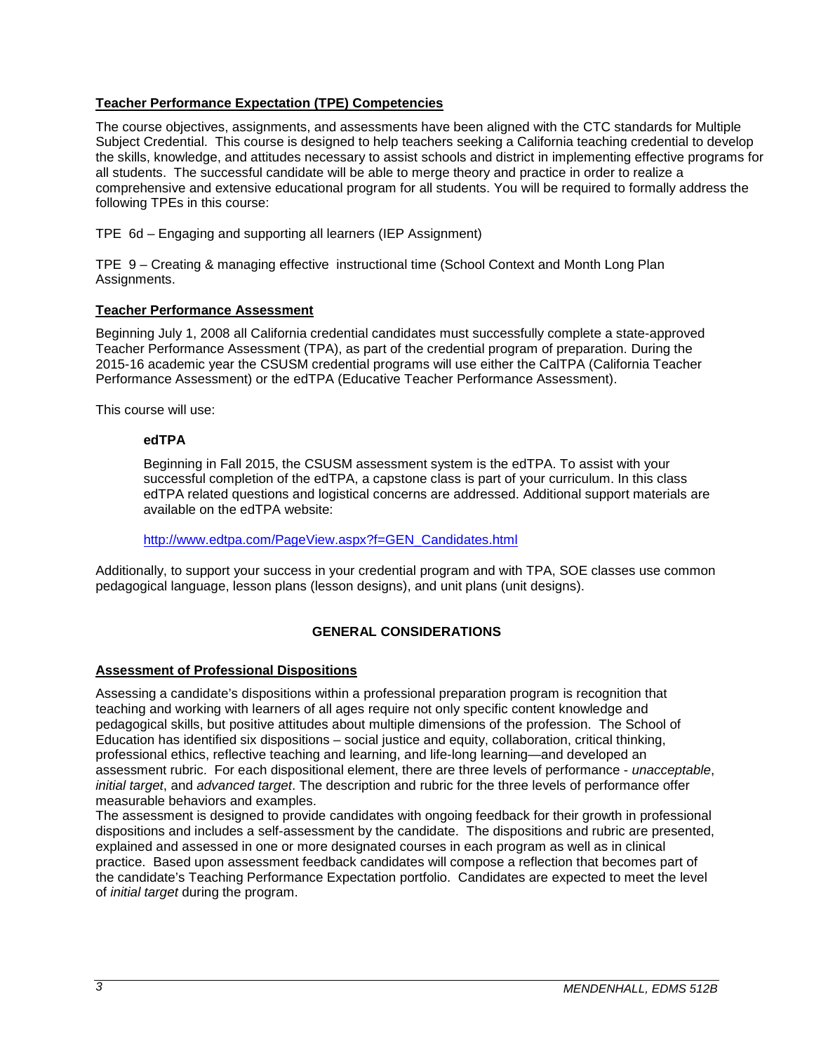# **Teacher Performance Expectation (TPE) Competencies**

The course objectives, assignments, and assessments have been aligned with the CTC standards for Multiple Subject Credential. This course is designed to help teachers seeking a California teaching credential to develop the skills, knowledge, and attitudes necessary to assist schools and district in implementing effective programs for all students. The successful candidate will be able to merge theory and practice in order to realize a comprehensive and extensive educational program for all students. You will be required to formally address the following TPEs in this course:

TPE 6d – Engaging and supporting all learners (IEP Assignment)

TPE 9 – Creating & managing effective instructional time (School Context and Month Long Plan Assignments.

## **Teacher Performance Assessment**

Beginning July 1, 2008 all California credential candidates must successfully complete a state-approved Teacher Performance Assessment (TPA), as part of the credential program of preparation. During the 2015-16 academic year the CSUSM credential programs will use either the CalTPA (California Teacher Performance Assessment) or the edTPA (Educative Teacher Performance Assessment).

This course will use:

## **edTPA**

Beginning in Fall 2015, the CSUSM assessment system is the edTPA. To assist with your successful completion of the edTPA, a capstone class is part of your curriculum. In this class edTPA related questions and logistical concerns are addressed. Additional support materials are available on the edTPA website:

[http://www.edtpa.com/PageView.aspx?f=GEN\\_Candidates.html](http://www.edtpa.com/PageView.aspx?f=GEN_Candidates.html)

Additionally, to support your success in your credential program and with TPA, SOE classes use common pedagogical language, lesson plans (lesson designs), and unit plans (unit designs).

# **GENERAL CONSIDERATIONS**

#### **Assessment of Professional Dispositions**

Assessing a candidate's dispositions within a professional preparation program is recognition that teaching and working with learners of all ages require not only specific content knowledge and pedagogical skills, but positive attitudes about multiple dimensions of the profession. The School of Education has identified six dispositions – social justice and equity, collaboration, critical thinking, professional ethics, reflective teaching and learning, and life-long learning—and developed an assessment rubric. For each dispositional element, there are three levels of performance - *unacceptable*, *initial target*, and *advanced target*. The description and rubric for the three levels of performance offer measurable behaviors and examples.

The assessment is designed to provide candidates with ongoing feedback for their growth in professional dispositions and includes a self-assessment by the candidate. The dispositions and rubric are presented, explained and assessed in one or more designated courses in each program as well as in clinical practice. Based upon assessment feedback candidates will compose a reflection that becomes part of the candidate's Teaching Performance Expectation portfolio. Candidates are expected to meet the level of *initial target* during the program.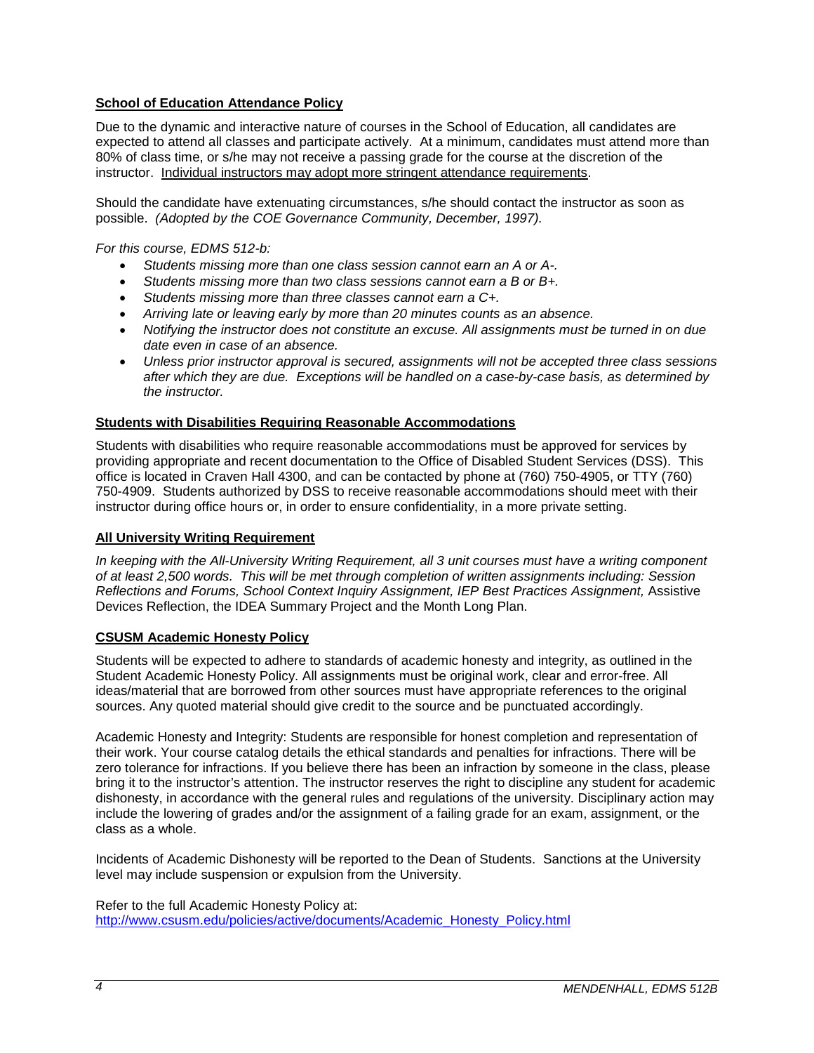# **School of Education Attendance Policy**

Due to the dynamic and interactive nature of courses in the School of Education, all candidates are expected to attend all classes and participate actively. At a minimum, candidates must attend more than 80% of class time, or s/he may not receive a passing grade for the course at the discretion of the instructor. Individual instructors may adopt more stringent attendance requirements.

Should the candidate have extenuating circumstances, s/he should contact the instructor as soon as possible. *(Adopted by the COE Governance Community, December, 1997).*

*For this course, EDMS 512-b:* 

- *Students missing more than one class session cannot earn an A or A-.*
- *Students missing more than two class sessions cannot earn a B or B+.*
- *Students missing more than three classes cannot earn a C+.*
- *Arriving late or leaving early by more than 20 minutes counts as an absence.*
- *Notifying the instructor does not constitute an excuse. All assignments must be turned in on due date even in case of an absence.*
- *Unless prior instructor approval is secured, assignments will not be accepted three class sessions after which they are due. Exceptions will be handled on a case-by-case basis, as determined by the instructor.*

## **Students with Disabilities Requiring Reasonable Accommodations**

Students with disabilities who require reasonable accommodations must be approved for services by providing appropriate and recent documentation to the Office of Disabled Student Services (DSS). This office is located in Craven Hall 4300, and can be contacted by phone at (760) 750-4905, or TTY (760) 750-4909. Students authorized by DSS to receive reasonable accommodations should meet with their instructor during office hours or, in order to ensure confidentiality, in a more private setting.

#### **All University Writing Requirement**

*In keeping with the All-University Writing Requirement, all 3 unit courses must have a writing component of at least 2,500 words. This will be met through completion of written assignments including: Session*  Reflections and Forums, School Context Inquiry Assignment, IEP Best Practices Assignment, Assistive Devices Reflection, the IDEA Summary Project and the Month Long Plan.

#### **CSUSM Academic Honesty Policy**

Students will be expected to adhere to standards of academic honesty and integrity, as outlined in the Student Academic Honesty Policy. All assignments must be original work, clear and error-free. All ideas/material that are borrowed from other sources must have appropriate references to the original sources. Any quoted material should give credit to the source and be punctuated accordingly.

Academic Honesty and Integrity: Students are responsible for honest completion and representation of their work. Your course catalog details the ethical standards and penalties for infractions. There will be zero tolerance for infractions. If you believe there has been an infraction by someone in the class, please bring it to the instructor's attention. The instructor reserves the right to discipline any student for academic dishonesty, in accordance with the general rules and regulations of the university. Disciplinary action may include the lowering of grades and/or the assignment of a failing grade for an exam, assignment, or the class as a whole.

Incidents of Academic Dishonesty will be reported to the Dean of Students. Sanctions at the University level may include suspension or expulsion from the University.

Refer to the full Academic Honesty Policy at: [http://www.csusm.edu/policies/active/documents/Academic\\_Honesty\\_Policy.html](http://www.csusm.edu/policies/active/documents/Academic_Honesty_Policy.html)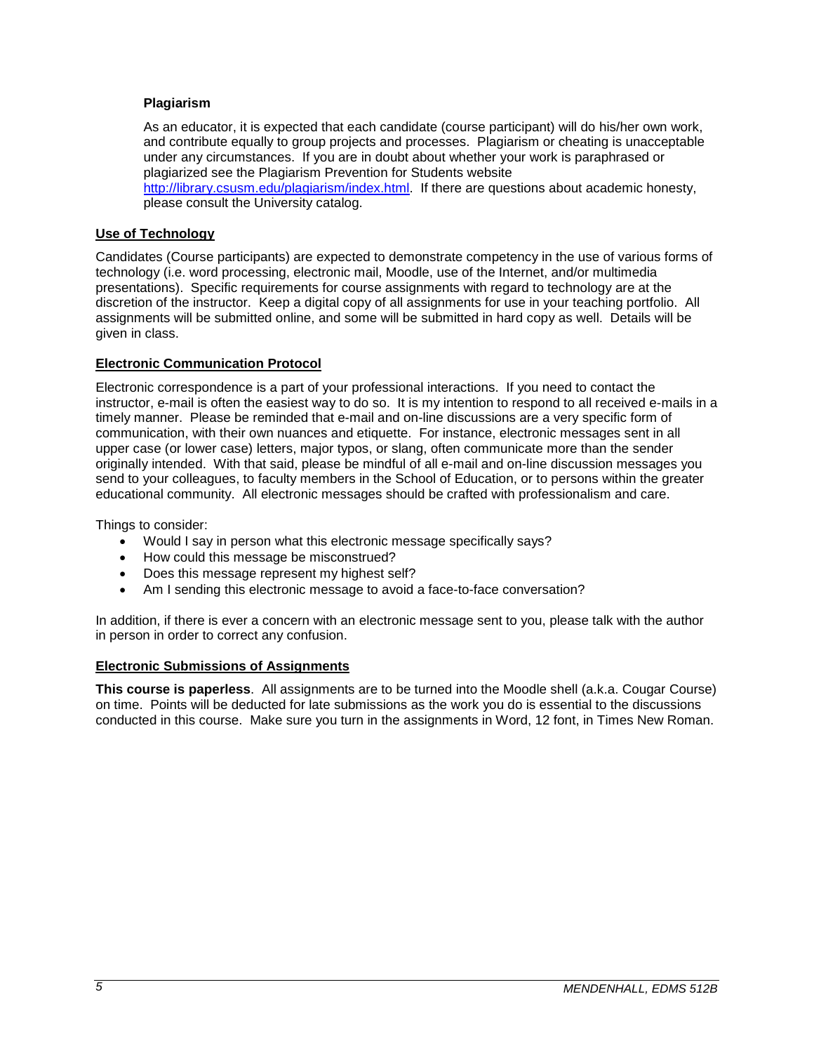# **Plagiarism**

As an educator, it is expected that each candidate (course participant) will do his/her own work, and contribute equally to group projects and processes. Plagiarism or cheating is unacceptable under any circumstances. If you are in doubt about whether your work is paraphrased or plagiarized see the Plagiarism Prevention for Students website [http://library.csusm.edu/plagiarism/index.html.](http://library.csusm.edu/plagiarism/index.html) If there are questions about academic honesty, please consult the University catalog.

# **Use of Technology**

Candidates (Course participants) are expected to demonstrate competency in the use of various forms of technology (i.e. word processing, electronic mail, Moodle, use of the Internet, and/or multimedia presentations). Specific requirements for course assignments with regard to technology are at the discretion of the instructor. Keep a digital copy of all assignments for use in your teaching portfolio. All assignments will be submitted online, and some will be submitted in hard copy as well. Details will be given in class.

# **Electronic Communication Protocol**

Electronic correspondence is a part of your professional interactions. If you need to contact the instructor, e-mail is often the easiest way to do so. It is my intention to respond to all received e-mails in a timely manner. Please be reminded that e-mail and on-line discussions are a very specific form of communication, with their own nuances and etiquette. For instance, electronic messages sent in all upper case (or lower case) letters, major typos, or slang, often communicate more than the sender originally intended. With that said, please be mindful of all e-mail and on-line discussion messages you send to your colleagues, to faculty members in the School of Education, or to persons within the greater educational community. All electronic messages should be crafted with professionalism and care.

Things to consider:

- Would I say in person what this electronic message specifically says?
- How could this message be misconstrued?
- Does this message represent my highest self?
- Am I sending this electronic message to avoid a face-to-face conversation?

In addition, if there is ever a concern with an electronic message sent to you, please talk with the author in person in order to correct any confusion.

## **Electronic Submissions of Assignments**

**This course is paperless**. All assignments are to be turned into the Moodle shell (a.k.a. Cougar Course) on time. Points will be deducted for late submissions as the work you do is essential to the discussions conducted in this course. Make sure you turn in the assignments in Word, 12 font, in Times New Roman.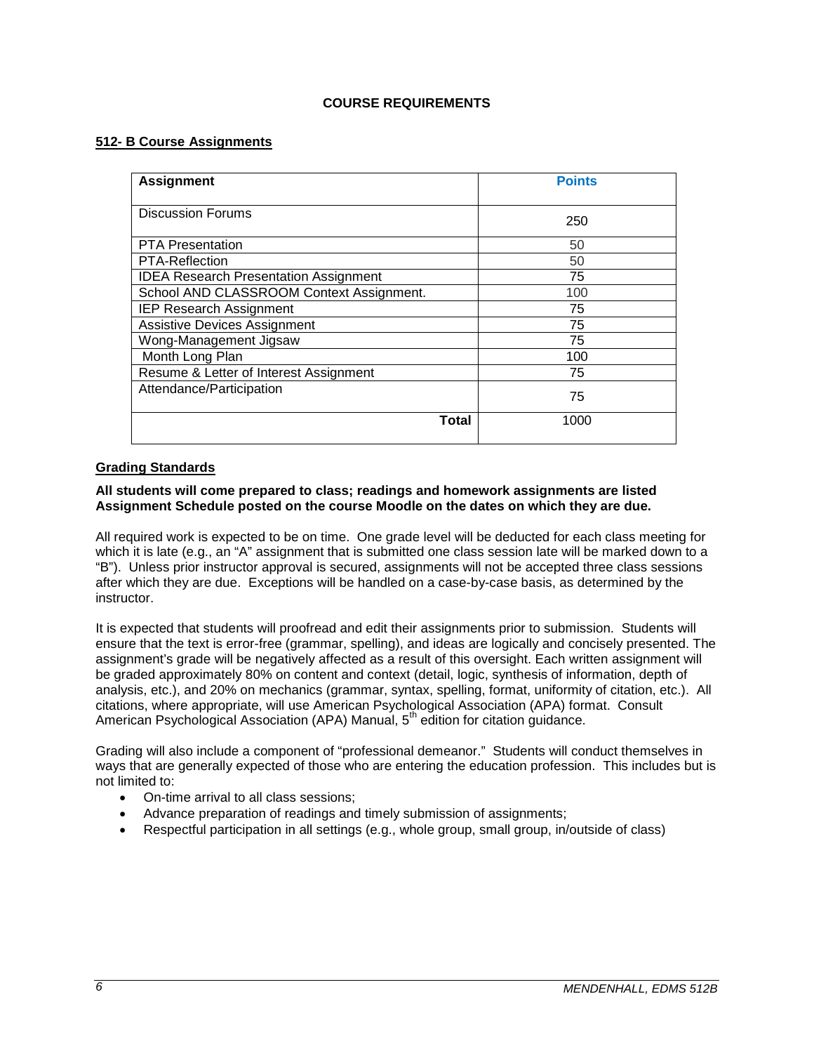# **COURSE REQUIREMENTS**

## **512- B Course Assignments**

| <b>Assignment</b>                            | <b>Points</b> |
|----------------------------------------------|---------------|
| <b>Discussion Forums</b>                     | 250           |
| <b>PTA Presentation</b>                      | 50            |
| <b>PTA-Reflection</b>                        | 50            |
| <b>IDEA Research Presentation Assignment</b> | 75            |
| School AND CLASSROOM Context Assignment.     | 100           |
| <b>IEP Research Assignment</b>               | 75            |
| <b>Assistive Devices Assignment</b>          | 75            |
| Wong-Management Jigsaw                       | 75            |
| Month Long Plan                              | 100           |
| Resume & Letter of Interest Assignment       | 75            |
| Attendance/Participation                     | 75            |
| <b>Total</b>                                 | 1000          |

## **Grading Standards**

#### **All students will come prepared to class; readings and homework assignments are listed Assignment Schedule posted on the course Moodle on the dates on which they are due.**

All required work is expected to be on time. One grade level will be deducted for each class meeting for which it is late (e.g., an "A" assignment that is submitted one class session late will be marked down to a "B"). Unless prior instructor approval is secured, assignments will not be accepted three class sessions after which they are due. Exceptions will be handled on a case-by-case basis, as determined by the instructor.

It is expected that students will proofread and edit their assignments prior to submission. Students will ensure that the text is error-free (grammar, spelling), and ideas are logically and concisely presented. The assignment's grade will be negatively affected as a result of this oversight. Each written assignment will be graded approximately 80% on content and context (detail, logic, synthesis of information, depth of analysis, etc.), and 20% on mechanics (grammar, syntax, spelling, format, uniformity of citation, etc.). All citations, where appropriate, will use American Psychological Association (APA) format. Consult American Psychological Association (APA) Manual, 5<sup>th</sup> edition for citation guidance.

Grading will also include a component of "professional demeanor." Students will conduct themselves in ways that are generally expected of those who are entering the education profession. This includes but is not limited to:

- On-time arrival to all class sessions;
- Advance preparation of readings and timely submission of assignments;
- Respectful participation in all settings (e.g., whole group, small group, in/outside of class)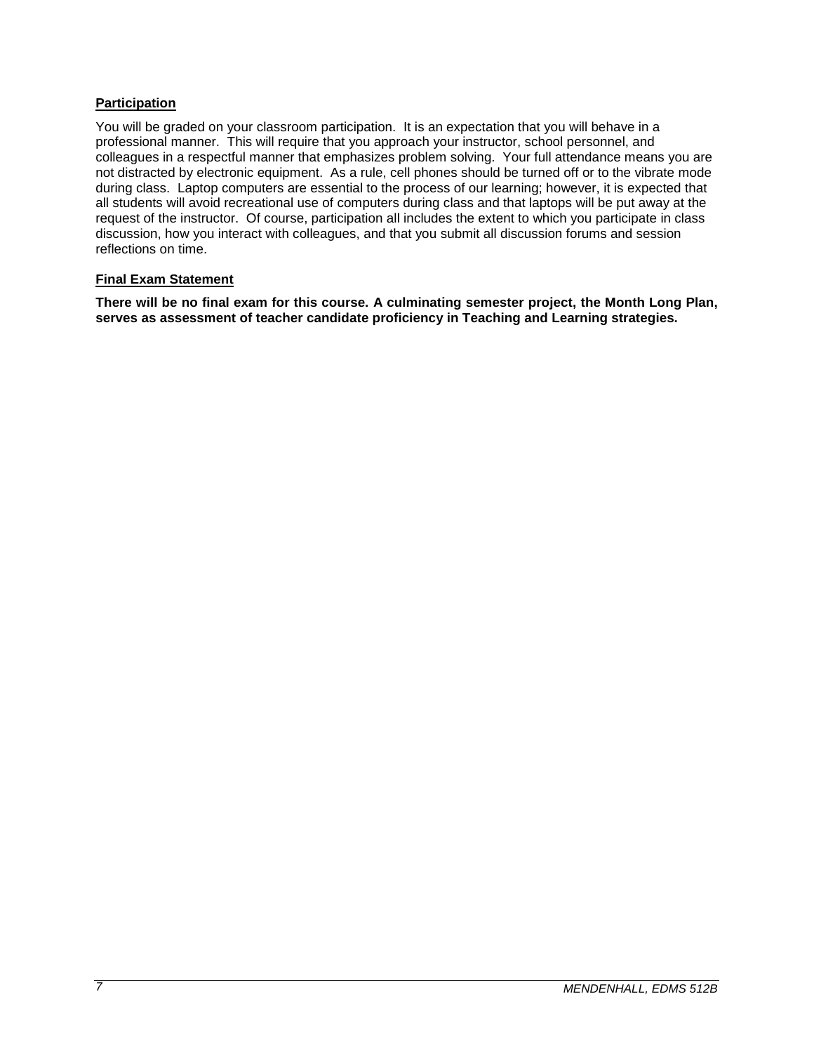# **Participation**

You will be graded on your classroom participation. It is an expectation that you will behave in a professional manner. This will require that you approach your instructor, school personnel, and colleagues in a respectful manner that emphasizes problem solving. Your full attendance means you are not distracted by electronic equipment. As a rule, cell phones should be turned off or to the vibrate mode during class. Laptop computers are essential to the process of our learning; however, it is expected that all students will avoid recreational use of computers during class and that laptops will be put away at the request of the instructor. Of course, participation all includes the extent to which you participate in class discussion, how you interact with colleagues, and that you submit all discussion forums and session reflections on time.

## **Final Exam Statement**

**There will be no final exam for this course. A culminating semester project, the Month Long Plan, serves as assessment of teacher candidate proficiency in Teaching and Learning strategies.**